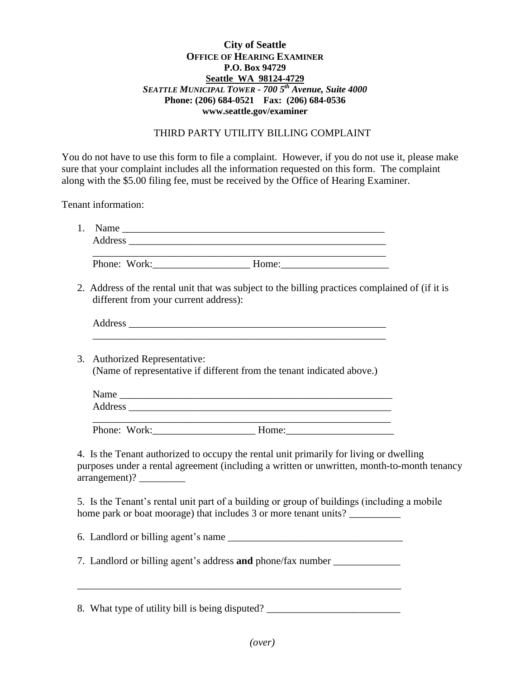## **City of Seattle OFFICE OF HEARING EXAMINER P.O. Box 94729 Seattle WA 98124-4729** *SEATTLE MUNICIPAL TOWER - 700 5th Avenue, Suite 4000* **Phone: (206) 684-0521 Fax: (206) 684-0536 www.seattle.gov/examiner**

## THIRD PARTY UTILITY BILLING COMPLAINT

You do not have to use this form to file a complaint. However, if you do not use it, please make sure that your complaint includes all the information requested on this form. The complaint along with the \$5.00 filing fee, must be received by the Office of Hearing Examiner.

Tenant information:

| 1. |                                                                                                                                                                                       |
|----|---------------------------------------------------------------------------------------------------------------------------------------------------------------------------------------|
|    | Address                                                                                                                                                                               |
|    | and the control of the control of the control of the control of the control of the control of the control of the                                                                      |
|    | 2. Address of the rental unit that was subject to the billing practices complained of (if it is<br>different from your current address):                                              |
|    |                                                                                                                                                                                       |
| 3. | <b>Authorized Representative:</b><br>(Name of representative if different from the tenant indicated above.)                                                                           |
|    | Name                                                                                                                                                                                  |
|    |                                                                                                                                                                                       |
|    |                                                                                                                                                                                       |
|    | 4. Is the Tenant authorized to occupy the rental unit primarily for living or dwelling<br>purposes under a rental agreement (including a written or unwritten, month-to-month tenancy |
|    | 5. Is the Tenant's rental unit part of a building or group of buildings (including a mobile<br>home park or boat moorage) that includes 3 or more tenant units?                       |
|    |                                                                                                                                                                                       |
|    | 7. Landlord or billing agent's address and phone/fax number ____________________                                                                                                      |
|    |                                                                                                                                                                                       |

8. What type of utility bill is being disputed? \_\_\_\_\_\_\_\_\_\_\_\_\_\_\_\_\_\_\_\_\_\_\_\_\_\_\_\_\_\_\_\_\_